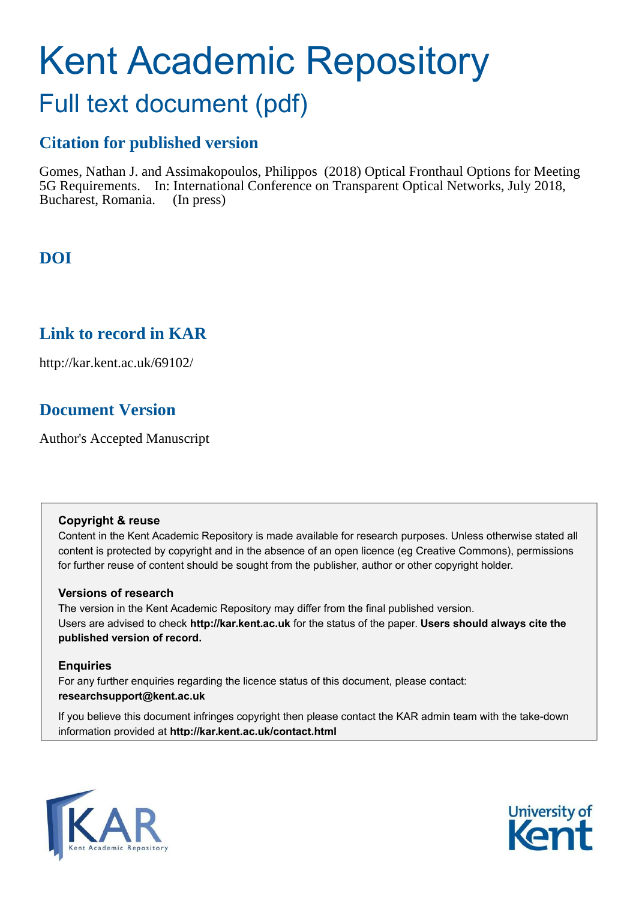# Kent Academic Repository Full text document (pdf)

# **Citation for published version**

Gomes, Nathan J. and Assimakopoulos, Philippos (2018) Optical Fronthaul Options for Meeting 5G Requirements. In: International Conference on Transparent Optical Networks, July 2018, Bucharest, Romania. (In press)

# **DOI**

# **Link to record in KAR**

http://kar.kent.ac.uk/69102/

# **Document Version**

Author's Accepted Manuscript

## **Copyright & reuse**

Content in the Kent Academic Repository is made available for research purposes. Unless otherwise stated all content is protected by copyright and in the absence of an open licence (eg Creative Commons), permissions for further reuse of content should be sought from the publisher, author or other copyright holder.

## **Versions of research**

The version in the Kent Academic Repository may differ from the final published version. Users are advised to check **http://kar.kent.ac.uk** for the status of the paper. **Users should always cite the published version of record.**

## **Enquiries**

For any further enquiries regarding the licence status of this document, please contact: **researchsupport@kent.ac.uk**

If you believe this document infringes copyright then please contact the KAR admin team with the take-down information provided at **http://kar.kent.ac.uk/contact.html**



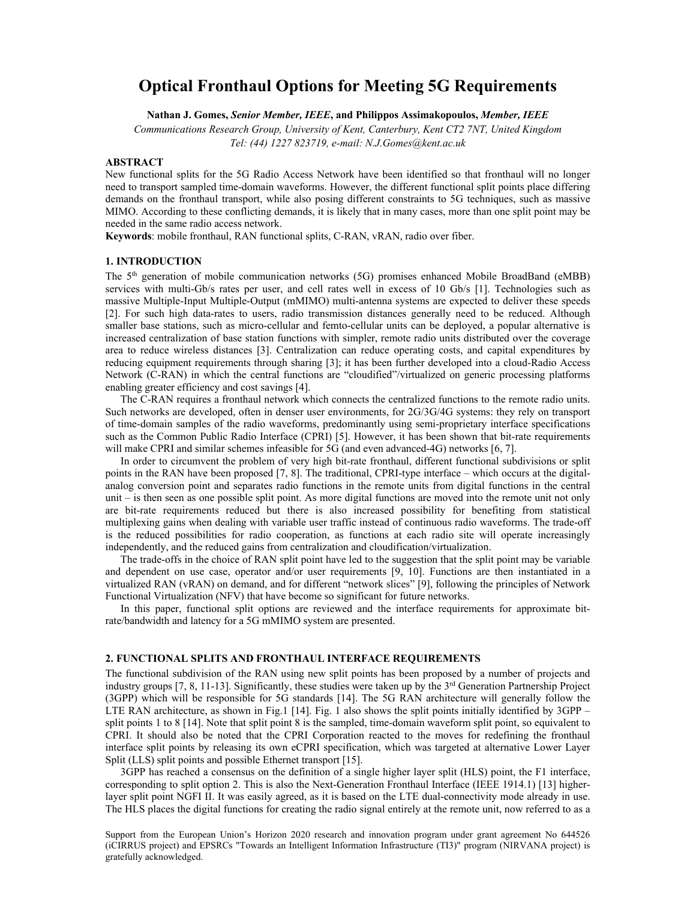## **Optical Fronthaul Options for Meeting 5G Requirements**

**Nathan J. Gomes,** *Senior Member, IEEE***, and Philippos Assimakopoulos,** *Member, IEEE*

*Communications Research Group, University of Kent, Canterbury, Kent CT2 7NT, United Kingdom Tel: (44) 1227 823719, e-mail: N.J.Gomes@kent.ac.uk* 

## **ABSTRACT**

New functional splits for the 5G Radio Access Network have been identified so that fronthaul will no longer need to transport sampled time-domain waveforms. However, the different functional split points place differing demands on the fronthaul transport, while also posing different constraints to 5G techniques, such as massive MIMO. According to these conflicting demands, it is likely that in many cases, more than one split point may be needed in the same radio access network.

**Keywords**: mobile fronthaul, RAN functional splits, C-RAN, vRAN, radio over fiber.

## **1. INTRODUCTION**

The 5th generation of mobile communication networks (5G) promises enhanced Mobile BroadBand (eMBB) services with multi-Gb/s rates per user, and cell rates well in excess of 10 Gb/s [1]. Technologies such as massive Multiple-Input Multiple-Output (mMIMO) multi-antenna systems are expected to deliver these speeds [2]. For such high data-rates to users, radio transmission distances generally need to be reduced. Although smaller base stations, such as micro-cellular and femto-cellular units can be deployed, a popular alternative is increased centralization of base station functions with simpler, remote radio units distributed over the coverage area to reduce wireless distances [3]. Centralization can reduce operating costs, and capital expenditures by reducing equipment requirements through sharing [3]; it has been further developed into a cloud-Radio Access Network (C-RAN) in which the central functions are "cloudified"/virtualized on generic processing platforms enabling greater efficiency and cost savings [4].

The C-RAN requires a fronthaul network which connects the centralized functions to the remote radio units. Such networks are developed, often in denser user environments, for 2G/3G/4G systems: they rely on transport of time-domain samples of the radio waveforms, predominantly using semi-proprietary interface specifications such as the Common Public Radio Interface (CPRI) [5]. However, it has been shown that bit-rate requirements will make CPRI and similar schemes infeasible for 5G (and even advanced-4G) networks [6, 7].

In order to circumvent the problem of very high bit-rate fronthaul, different functional subdivisions or split points in the RAN have been proposed [7, 8]. The traditional, CPRI-type interface – which occurs at the digitalanalog conversion point and separates radio functions in the remote units from digital functions in the central unit – is then seen as one possible split point. As more digital functions are moved into the remote unit not only are bit-rate requirements reduced but there is also increased possibility for benefiting from statistical multiplexing gains when dealing with variable user traffic instead of continuous radio waveforms. The trade-off is the reduced possibilities for radio cooperation, as functions at each radio site will operate increasingly independently, and the reduced gains from centralization and cloudification/virtualization.

The trade-offs in the choice of RAN split point have led to the suggestion that the split point may be variable and dependent on use case, operator and/or user requirements [9, 10]. Functions are then instantiated in a virtualized RAN (vRAN) on demand, and for different "network slices" [9], following the principles of Network Functional Virtualization (NFV) that have become so significant for future networks.

In this paper, functional split options are reviewed and the interface requirements for approximate bitrate/bandwidth and latency for a 5G mMIMO system are presented.

#### **2. FUNCTIONAL SPLITS AND FRONTHAUL INTERFACE REQUIREMENTS**

The functional subdivision of the RAN using new split points has been proposed by a number of projects and industry groups  $[7, 8, 11-13]$ . Significantly, these studies were taken up by the  $3<sup>rd</sup>$  Generation Partnership Project (3GPP) which will be responsible for 5G standards [14]. The 5G RAN architecture will generally follow the LTE RAN architecture, as shown in Fig.1 [14]. Fig. 1 also shows the split points initially identified by  $3GPP$ split points 1 to 8 [14]. Note that split point 8 is the sampled, time-domain waveform split point, so equivalent to CPRI. It should also be noted that the CPRI Corporation reacted to the moves for redefining the fronthaul interface split points by releasing its own eCPRI specification, which was targeted at alternative Lower Layer Split (LLS) split points and possible Ethernet transport [15].

3GPP has reached a consensus on the definition of a single higher layer split (HLS) point, the F1 interface, corresponding to split option 2. This is also the Next-Generation Fronthaul Interface (IEEE 1914.1) [13] higherlayer split point NGFI II. It was easily agreed, as it is based on the LTE dual-connectivity mode already in use. The HLS places the digital functions for creating the radio signal entirely at the remote unit, now referred to as a

Support from the European Union's Horizon 2020 research and innovation program under grant agreement No 644526 (iCIRRUS project) and EPSRCs "Towards an Intelligent Information Infrastructure (TI3)" program (NIRVANA project) is gratefully acknowledged.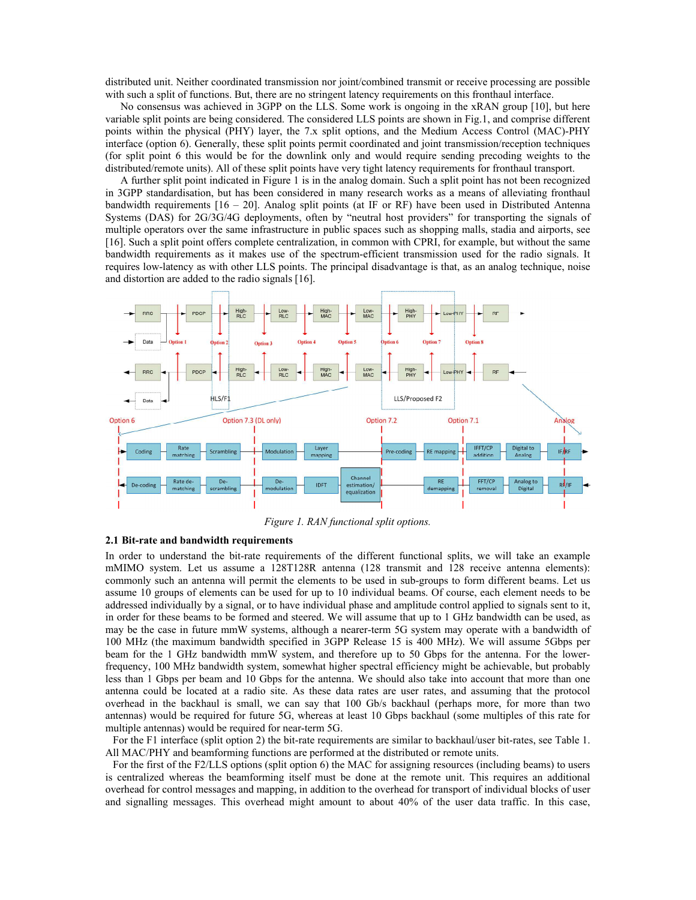distributed unit. Neither coordinated transmission nor joint/combined transmit or receive processing are possible with such a split of functions. But, there are no stringent latency requirements on this fronthaul interface.

No consensus was achieved in 3GPP on the LLS. Some work is ongoing in the xRAN group [10], but here variable split points are being considered. The considered LLS points are shown in Fig.1, and comprise different points within the physical (PHY) layer, the 7.x split options, and the Medium Access Control (MAC)-PHY interface (option 6). Generally, these split points permit coordinated and joint transmission/reception techniques (for split point 6 this would be for the downlink only and would require sending precoding weights to the distributed/remote units). All of these split points have very tight latency requirements for fronthaul transport.

A further split point indicated in Figure 1 is in the analog domain. Such a split point has not been recognized in 3GPP standardisation, but has been considered in many research works as a means of alleviating fronthaul bandwidth requirements [16 – 20]. Analog split points (at IF or RF) have been used in Distributed Antenna Systems (DAS) for 2G/3G/4G deployments, often by "neutral host providers" for transporting the signals of multiple operators over the same infrastructure in public spaces such as shopping malls, stadia and airports, see [16]. Such a split point offers complete centralization, in common with CPRI, for example, but without the same bandwidth requirements as it makes use of the spectrum-efficient transmission used for the radio signals. It requires low-latency as with other LLS points. The principal disadvantage is that, as an analog technique, noise and distortion are added to the radio signals [16].



*Figure 1. RAN functional split options.* 

#### **2.1 Bit-rate and bandwidth requirements**

In order to understand the bit-rate requirements of the different functional splits, we will take an example mMIMO system. Let us assume a 128T128R antenna (128 transmit and 128 receive antenna elements): commonly such an antenna will permit the elements to be used in sub-groups to form different beams. Let us assume 10 groups of elements can be used for up to 10 individual beams. Of course, each element needs to be addressed individually by a signal, or to have individual phase and amplitude control applied to signals sent to it, in order for these beams to be formed and steered. We will assume that up to 1 GHz bandwidth can be used, as may be the case in future mmW systems, although a nearer-term 5G system may operate with a bandwidth of 100 MHz (the maximum bandwidth specified in 3GPP Release 15 is 400 MHz). We will assume 5Gbps per beam for the 1 GHz bandwidth mmW system, and therefore up to 50 Gbps for the antenna. For the lowerfrequency, 100 MHz bandwidth system, somewhat higher spectral efficiency might be achievable, but probably less than 1 Gbps per beam and 10 Gbps for the antenna. We should also take into account that more than one antenna could be located at a radio site. As these data rates are user rates, and assuming that the protocol overhead in the backhaul is small, we can say that 100 Gb/s backhaul (perhaps more, for more than two antennas) would be required for future 5G, whereas at least 10 Gbps backhaul (some multiples of this rate for multiple antennas) would be required for near-term 5G.

For the F1 interface (split option 2) the bit-rate requirements are similar to backhaul/user bit-rates, see Table 1. All MAC/PHY and beamforming functions are performed at the distributed or remote units.

For the first of the F2/LLS options (split option 6) the MAC for assigning resources (including beams) to users is centralized whereas the beamforming itself must be done at the remote unit. This requires an additional overhead for control messages and mapping, in addition to the overhead for transport of individual blocks of user and signalling messages. This overhead might amount to about 40% of the user data traffic. In this case,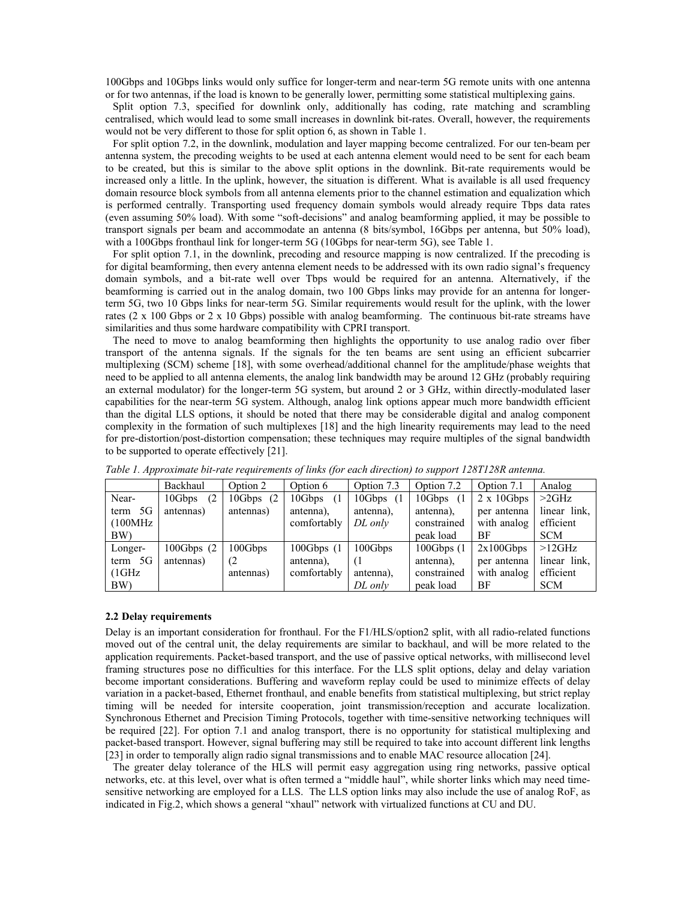100Gbps and 10Gbps links would only suffice for longer-term and near-term 5G remote units with one antenna or for two antennas, if the load is known to be generally lower, permitting some statistical multiplexing gains.

Split option 7.3, specified for downlink only, additionally has coding, rate matching and scrambling centralised, which would lead to some small increases in downlink bit-rates. Overall, however, the requirements would not be very different to those for split option 6, as shown in Table 1.

For split option 7.2, in the downlink, modulation and layer mapping become centralized. For our ten-beam per antenna system, the precoding weights to be used at each antenna element would need to be sent for each beam to be created, but this is similar to the above split options in the downlink. Bit-rate requirements would be increased only a little. In the uplink, however, the situation is different. What is available is all used frequency domain resource block symbols from all antenna elements prior to the channel estimation and equalization which is performed centrally. Transporting used frequency domain symbols would already require Tbps data rates (even assuming 50% load). With some "soft-decisions" and analog beamforming applied, it may be possible to transport signals per beam and accommodate an antenna (8 bits/symbol, 16Gbps per antenna, but 50% load), with a 100Gbps fronthaul link for longer-term 5G (10Gbps for near-term 5G), see Table 1.

For split option 7.1, in the downlink, precoding and resource mapping is now centralized. If the precoding is for digital beamforming, then every antenna element needs to be addressed with its own radio signal's frequency domain symbols, and a bit-rate well over Tbps would be required for an antenna. Alternatively, if the beamforming is carried out in the analog domain, two 100 Gbps links may provide for an antenna for longerterm 5G, two 10 Gbps links for near-term 5G. Similar requirements would result for the uplink, with the lower rates (2 x 100 Gbps or 2 x 10 Gbps) possible with analog beamforming. The continuous bit-rate streams have similarities and thus some hardware compatibility with CPRI transport.

The need to move to analog beamforming then highlights the opportunity to use analog radio over fiber transport of the antenna signals. If the signals for the ten beams are sent using an efficient subcarrier multiplexing (SCM) scheme [18], with some overhead/additional channel for the amplitude/phase weights that need to be applied to all antenna elements, the analog link bandwidth may be around 12 GHz (probably requiring an external modulator) for the longer-term 5G system, but around 2 or 3 GHz, within directly-modulated laser capabilities for the near-term 5G system. Although, analog link options appear much more bandwidth efficient than the digital LLS options, it should be noted that there may be considerable digital and analog component complexity in the formation of such multiplexes [18] and the high linearity requirements may lead to the need for pre-distortion/post-distortion compensation; these techniques may require multiples of the signal bandwidth to be supported to operate effectively [21].

|            | Backhaul        | Option 2     | Option 6    | Option 7.3    | Option 7.2  | Option 7.1         | Analog       |
|------------|-----------------|--------------|-------------|---------------|-------------|--------------------|--------------|
| Near-      | 10Gbps<br>(2)   | $10Gbps$ (2) | 10Gbps      | $10Gbps$ $(1$ | 10Gbps      | $2 \times 10$ Gbps | $>2$ GHz     |
| 5G<br>term | antennas)       | antennas)    | antenna),   | antenna),     | antenna),   | per antenna        | linear link, |
| (100MHz    |                 |              | comfortably | DL only       | constrained | with analog        | efficient    |
| BW)        |                 |              |             |               | peak load   | BF                 | <b>SCM</b>   |
| Longer-    | $100Gbps$ $(2)$ | 100Gbps      | 100Gbps(1)  | 100Gbps       | 100Gbps(1)  | 2x100Gbps          | $>12$ GHz    |
| term 5G    | antennas)       | (2)          | antenna),   | (1)           | antenna),   | per antenna        | linear link, |
| (1GHz)     |                 | antennas)    | comfortably | antenna),     | constrained | with analog        | efficient    |
| BW)        |                 |              |             | DL only       | peak load   | BF                 | <b>SCM</b>   |

*Table 1. Approximate bit-rate requirements of links (for each direction) to support 128T128R antenna.* 

#### **2.2 Delay requirements**

Delay is an important consideration for fronthaul. For the F1/HLS/option2 split, with all radio-related functions moved out of the central unit, the delay requirements are similar to backhaul, and will be more related to the application requirements. Packet-based transport, and the use of passive optical networks, with millisecond level framing structures pose no difficulties for this interface. For the LLS split options, delay and delay variation become important considerations. Buffering and waveform replay could be used to minimize effects of delay variation in a packet-based, Ethernet fronthaul, and enable benefits from statistical multiplexing, but strict replay timing will be needed for intersite cooperation, joint transmission/reception and accurate localization. Synchronous Ethernet and Precision Timing Protocols, together with time-sensitive networking techniques will be required [22]. For option 7.1 and analog transport, there is no opportunity for statistical multiplexing and packet-based transport. However, signal buffering may still be required to take into account different link lengths [23] in order to temporally align radio signal transmissions and to enable MAC resource allocation [24].

The greater delay tolerance of the HLS will permit easy aggregation using ring networks, passive optical networks, etc. at this level, over what is often termed a "middle haul", while shorter links which may need timesensitive networking are employed for a LLS. The LLS option links may also include the use of analog RoF, as indicated in Fig.2, which shows a general "xhaul" network with virtualized functions at CU and DU.